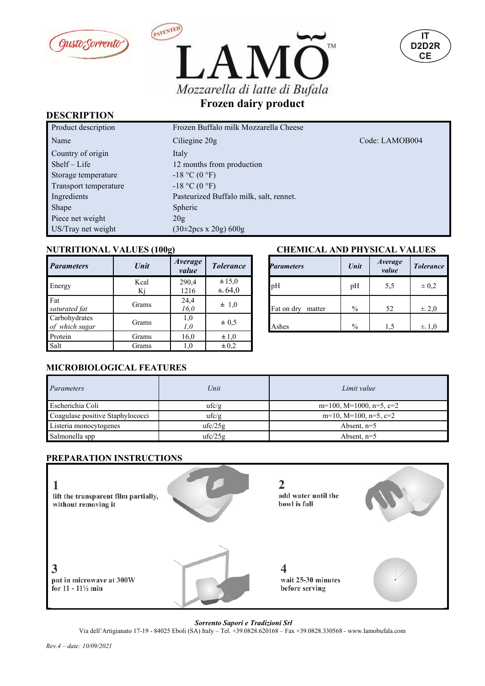





#### **DESCRIPTION**

| Product description   | Frozen Buffalo milk Mozzarella Cheese   |                |
|-----------------------|-----------------------------------------|----------------|
| Name                  | Ciliegine 20g                           | Code: LAMOB004 |
| Country of origin     | Italy                                   |                |
| $Shelf-Life$          | 12 months from production               |                |
| Storage temperature   | $-18$ °C (0 °F)                         |                |
| Transport temperature | $-18$ °C (0 °F)                         |                |
| Ingredients           | Pasteurized Buffalo milk, salt, rennet. |                |
| Shape                 | <b>Spheric</b>                          |                |
| Piece net weight      | 20g                                     |                |
| US/Tray net weight    | $(30\pm2)$ pcs x 20g) 600g              |                |

| <b>Parameters</b>               | Unit       | Average<br>value | <b>Tolerance</b>         | <b>Parameters</b>    | Unit          | <i>Average</i><br>value | <b>Tolerar</b> |
|---------------------------------|------------|------------------|--------------------------|----------------------|---------------|-------------------------|----------------|
| Energy                          | Kcal<br>Kj | 290,4<br>1216    | $\pm 15,0$<br>$\pm 64,0$ | pH                   | pH            | 5,5                     | $\pm 0.2$      |
| Fat<br>saturated fat            | Grams      | 24,4<br>16.0     | $\pm$ 1,0                | Fat on dry<br>matter | $\frac{0}{0}$ | 52                      | ±.2,0          |
| Carbohydrates<br>of which sugar | Grams      | 1,0<br>1,0       | $\pm 0.5$                | Ashes                | $\frac{0}{0}$ | 1,5                     | $\pm$ 1,0      |
| Protein                         | Grams      | 16,0             | $\pm 1,0$                |                      |               |                         |                |
| Salt                            | Grams      | 1,0              | $\pm 0.2$                |                      |               |                         |                |

### **NUTRITIONAL VALUES (100g) CHEMICAL AND PHYSICAL VALUES**

|                 |                      | CHEMICAL AND PHYSICAL VALUES |               |                         |                  |  |
|-----------------|----------------------|------------------------------|---------------|-------------------------|------------------|--|
| verage<br>value | <b>Tolerance</b>     | <b>Parameters</b>            | Unit          | <i>Average</i><br>value | <b>Tolerance</b> |  |
| 290,4<br>1216   | $\pm 15,0$<br>± 64,0 | pH                           | pH            | 5,5                     | $\pm 0.2$        |  |
| 24,4<br>16,0    | $\pm$ 1,0            | Fat on dry<br>matter         | $\%$          | 52                      | $\pm$ 2,0        |  |
| 1,0<br>1,0      | $\pm 0.5$            | Ashes                        | $\frac{0}{0}$ | 1,5                     | $\pm$ 1.0        |  |
| $1 \leq \Omega$ | $1 \Omega$           |                              |               |                         |                  |  |

### **MICROBIOLOGICAL FEATURES**

| Parameters                       | Unit    | Limit value              |
|----------------------------------|---------|--------------------------|
| Escherichia Coli                 | ufc/g   | m=100, M=1000, n=5, c=2  |
| Coagulase positive Staphylococci | ufc/g   | $m=10$ , M=100, n=5, c=2 |
| Listeria monocytogenes           | ufc/25g | Absent. $n=5$            |
| Salmonella spp                   | ufc/25g | Absent. $n=5$            |

#### **PREPARATION INSTRUCTIONS**



*Sorrento Sapori e Tradizioni Srl*

Via dell'Artigianato 17-19 - 84025 Eboli (SA) Italy – Tel. +39.0828.620168 – Fax +39.0828.330568 - www.lamobufala.com